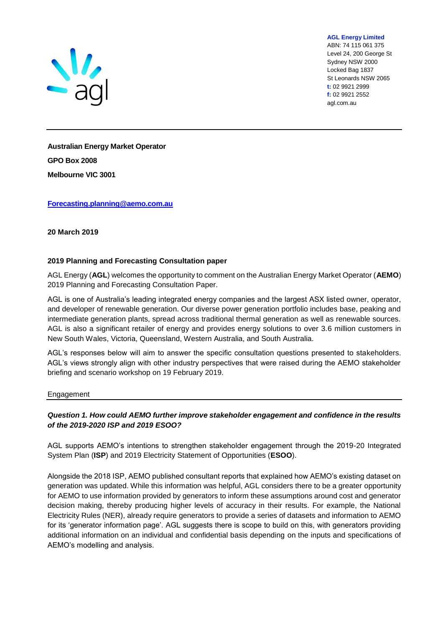

**AGL Energy Limited** ABN: 74 115 061 375

Level 24, 200 George St Sydney NSW 2000 Locked Bag 1837 St Leonards NSW 2065 **t:** 02 9921 2999 **f:** 02 9921 2552 agl.com.au

**Australian Energy Market Operator GPO Box 2008 Melbourne VIC 3001**

### **[Forecasting.planning@aemo.com.au](mailto:Forecasting.planning@aemo.com.au)**

**20 March 2019**

### **2019 Planning and Forecasting Consultation paper**

AGL Energy (**AGL**) welcomes the opportunity to comment on the Australian Energy Market Operator (**AEMO**) 2019 Planning and Forecasting Consultation Paper.

AGL is one of Australia's leading integrated energy companies and the largest ASX listed owner, operator, and developer of renewable generation. Our diverse power generation portfolio includes base, peaking and intermediate generation plants, spread across traditional thermal generation as well as renewable sources. AGL is also a significant retailer of energy and provides energy solutions to over 3.6 million customers in New South Wales, Victoria, Queensland, Western Australia, and South Australia.

AGL's responses below will aim to answer the specific consultation questions presented to stakeholders. AGL's views strongly align with other industry perspectives that were raised during the AEMO stakeholder briefing and scenario workshop on 19 February 2019.

#### Engagement

# *Question 1. How could AEMO further improve stakeholder engagement and confidence in the results of the 2019-2020 ISP and 2019 ESOO?*

AGL supports AEMO's intentions to strengthen stakeholder engagement through the 2019-20 Integrated System Plan (**ISP**) and 2019 Electricity Statement of Opportunities (**ESOO**).

Alongside the 2018 ISP, AEMO published consultant reports that explained how AEMO's existing dataset on generation was updated. While this information was helpful, AGL considers there to be a greater opportunity for AEMO to use information provided by generators to inform these assumptions around cost and generator decision making, thereby producing higher levels of accuracy in their results. For example, the National Electricity Rules (NER), already require generators to provide a series of datasets and information to AEMO for its 'generator information page'. AGL suggests there is scope to build on this, with generators providing additional information on an individual and confidential basis depending on the inputs and specifications of AEMO's modelling and analysis.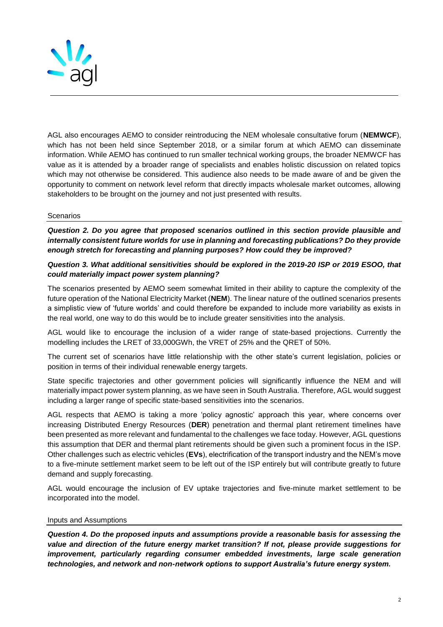

AGL also encourages AEMO to consider reintroducing the NEM wholesale consultative forum (**NEMWCF**), which has not been held since September 2018, or a similar forum at which AEMO can disseminate information. While AEMO has continued to run smaller technical working groups, the broader NEMWCF has value as it is attended by a broader range of specialists and enables holistic discussion on related topics which may not otherwise be considered. This audience also needs to be made aware of and be given the opportunity to comment on network level reform that directly impacts wholesale market outcomes, allowing stakeholders to be brought on the journey and not just presented with results.

## **Scenarios**

*Question 2. Do you agree that proposed scenarios outlined in this section provide plausible and internally consistent future worlds for use in planning and forecasting publications? Do they provide enough stretch for forecasting and planning purposes? How could they be improved?* 

# *Question 3. What additional sensitivities should be explored in the 2019-20 ISP or 2019 ESOO, that could materially impact power system planning?*

The scenarios presented by AEMO seem somewhat limited in their ability to capture the complexity of the future operation of the National Electricity Market (**NEM**). The linear nature of the outlined scenarios presents a simplistic view of 'future worlds' and could therefore be expanded to include more variability as exists in the real world, one way to do this would be to include greater sensitivities into the analysis.

AGL would like to encourage the inclusion of a wider range of state-based projections. Currently the modelling includes the LRET of 33,000GWh, the VRET of 25% and the QRET of 50%.

The current set of scenarios have little relationship with the other state's current legislation, policies or position in terms of their individual renewable energy targets.

State specific trajectories and other government policies will significantly influence the NEM and will materially impact power system planning, as we have seen in South Australia. Therefore, AGL would suggest including a larger range of specific state-based sensitivities into the scenarios.

AGL respects that AEMO is taking a more 'policy agnostic' approach this year, where concerns over increasing Distributed Energy Resources (**DER**) penetration and thermal plant retirement timelines have been presented as more relevant and fundamental to the challenges we face today. However, AGL questions this assumption that DER and thermal plant retirements should be given such a prominent focus in the ISP. Other challenges such as electric vehicles (**EVs**), electrification of the transport industry and the NEM's move to a five-minute settlement market seem to be left out of the ISP entirely but will contribute greatly to future demand and supply forecasting.

AGL would encourage the inclusion of EV uptake trajectories and five-minute market settlement to be incorporated into the model.

#### Inputs and Assumptions

*Question 4. Do the proposed inputs and assumptions provide a reasonable basis for assessing the value and direction of the future energy market transition? If not, please provide suggestions for improvement, particularly regarding consumer embedded investments, large scale generation technologies, and network and non-network options to support Australia's future energy system.*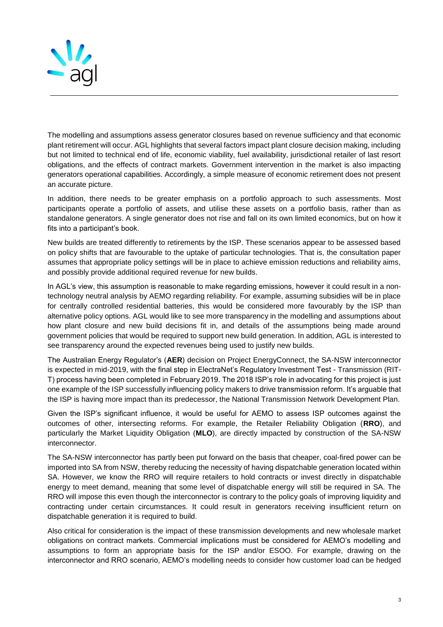

The modelling and assumptions assess generator closures based on revenue sufficiency and that economic plant retirement will occur. AGL highlights that several factors impact plant closure decision making, including but not limited to technical end of life, economic viability, fuel availability, jurisdictional retailer of last resort obligations, and the effects of contract markets. Government intervention in the market is also impacting generators operational capabilities. Accordingly, a simple measure of economic retirement does not present an accurate picture.

In addition, there needs to be greater emphasis on a portfolio approach to such assessments. Most participants operate a portfolio of assets, and utilise these assets on a portfolio basis, rather than as standalone generators. A single generator does not rise and fall on its own limited economics, but on how it fits into a participant's book.

New builds are treated differently to retirements by the ISP. These scenarios appear to be assessed based on policy shifts that are favourable to the uptake of particular technologies. That is, the consultation paper assumes that appropriate policy settings will be in place to achieve emission reductions and reliability aims, and possibly provide additional required revenue for new builds.

In AGL's view, this assumption is reasonable to make regarding emissions, however it could result in a nontechnology neutral analysis by AEMO regarding reliability. For example, assuming subsidies will be in place for centrally controlled residential batteries, this would be considered more favourably by the ISP than alternative policy options. AGL would like to see more transparency in the modelling and assumptions about how plant closure and new build decisions fit in, and details of the assumptions being made around government policies that would be required to support new build generation. In addition, AGL is interested to see transparency around the expected revenues being used to justify new builds.

The Australian Energy Regulator's (**AER**) decision on Project EnergyConnect, the SA-NSW interconnector is expected in mid-2019, with the final step in ElectraNet's Regulatory Investment Test - Transmission (RIT-T) process having been completed in February 2019. The 2018 ISP's role in advocating for this project is just one example of the ISP successfully influencing policy makers to drive transmission reform. It's arguable that the ISP is having more impact than its predecessor, the National Transmission Network Development Plan.

Given the ISP's significant influence, it would be useful for AEMO to assess ISP outcomes against the outcomes of other, intersecting reforms. For example, the Retailer Reliability Obligation (**RRO**), and particularly the Market Liquidity Obligation (**MLO**), are directly impacted by construction of the SA-NSW interconnector.

The SA-NSW interconnector has partly been put forward on the basis that cheaper, coal-fired power can be imported into SA from NSW, thereby reducing the necessity of having dispatchable generation located within SA. However, we know the RRO will require retailers to hold contracts or invest directly in dispatchable energy to meet demand, meaning that some level of dispatchable energy will still be required in SA. The RRO will impose this even though the interconnector is contrary to the policy goals of improving liquidity and contracting under certain circumstances. It could result in generators receiving insufficient return on dispatchable generation it is required to build.

Also critical for consideration is the impact of these transmission developments and new wholesale market obligations on contract markets. Commercial implications must be considered for AEMO's modelling and assumptions to form an appropriate basis for the ISP and/or ESOO. For example, drawing on the interconnector and RRO scenario, AEMO's modelling needs to consider how customer load can be hedged